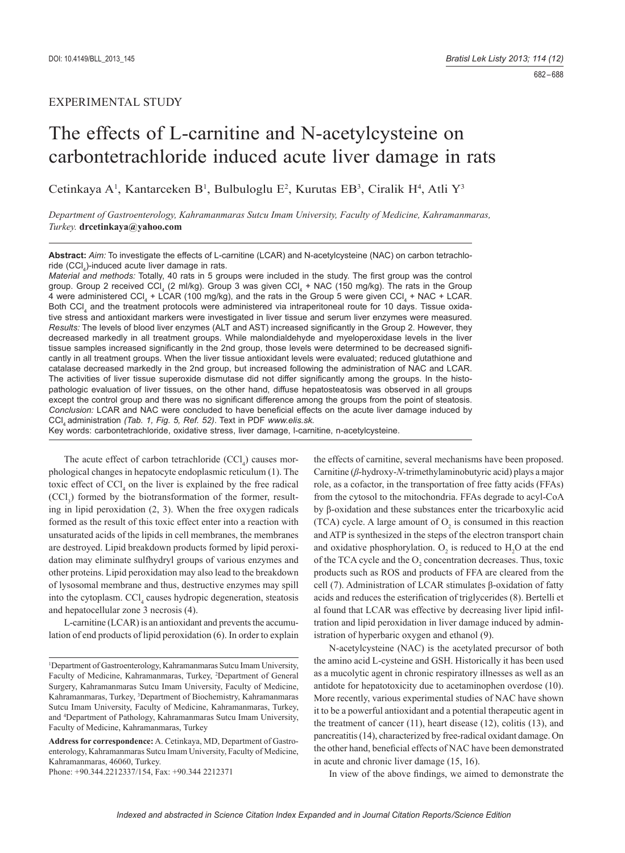# EXPERIMENTAL STUDY

# The effects of L-carnitine and N-acetylcysteine on carbontetrachloride induced acute liver damage in rats

Cetinkaya A<sup>1</sup>, Kantarceken B<sup>1</sup>, Bulbuloglu E<sup>2</sup>, Kurutas EB<sup>3</sup>, Ciralik H<sup>4</sup>, Atli Y<sup>3</sup>

*Department of Gastroenterology, Kahramanmaras Sutcu Imam University, Faculty of Medicine, Kahramanmaras, Turkey.* **drcetinkaya@yahoo.com**

**Abstract:** *Aim:* To investigate the effects of L-carnitine (LCAR) and N-acetylcysteine (NAC) on carbon tetrachloride (CCI<sub>4</sub>)-induced acute liver damage in rats.

*Material and methods:* Totally, 40 rats in 5 groups were included in the study. The first group was the control group. Group 2 received CCl<sub>4</sub> (2 ml/kg). Group 3 was given CCl<sub>4</sub> + NAC (150 mg/kg). The rats in the Group 4 were administered CCl<sub>4</sub> + LCAR (100 mg/kg), and the rats in the Group 5 were given CCl<sub>4</sub> + NAC + LCAR. Both CCl<sub>4</sub> and the treatment protocols were administered via intraperitoneal route for 10 days. Tissue oxidative stress and antioxidant markers were investigated in liver tissue and serum liver enzymes were measured. *Results:* The levels of blood liver enzymes (ALT and AST) increased significantly in the Group 2. However, they decreased markedly in all treatment groups. While malondialdehyde and myeloperoxidase levels in the liver tissue samples increased significantly in the 2nd group, those levels were determined to be decreased significantly in all treatment groups. When the liver tissue antioxidant levels were evaluated; reduced glutathione and catalase decreased markedly in the 2nd group, but increased following the administration of NAC and LCAR. The activities of liver tissue superoxide dismutase did not differ significantly among the groups. In the histopathologic evaluation of liver tissues, on the other hand, diffuse hepatosteatosis was observed in all groups except the control group and there was no significant difference among the groups from the point of steatosis. *Conclusion:* LCAR and NAC were concluded to have beneficial effects on the acute liver damage induced by CCl4 administration *(Tab. 1, Fig. 5, Ref. 52)*. Text in PDF *www.elis.sk.*

Key words: carbontetrachloride, oxidative stress, liver damage, l-carnitine, n-acetylcysteine.

The acute effect of carbon tetrachloride  $(CCI<sub>4</sub>)$  causes morphological changes in hepatocyte endoplasmic reticulum (1). The toxic effect of  $\text{CCI}_4$  on the liver is explained by the free radical  $(CCl<sub>3</sub>)$  formed by the biotransformation of the former, resulting in lipid peroxidation (2, 3). When the free oxygen radicals formed as the result of this toxic effect enter into a reaction with unsaturated acids of the lipids in cell membranes, the membranes are destroyed. Lipid breakdown products formed by lipid peroxidation may eliminate sulfhydryl groups of various enzymes and other proteins. Lipid peroxidation may also lead to the breakdown of lysosomal membrane and thus, destructive enzymes may spill into the cytoplasm. CCl<sub>4</sub> causes hydropic degeneration, steatosis and hepatocellular zone 3 necrosis (4).

L-carnitine (LCAR) is an antioxidant and prevents the accumulation of end products of lipid peroxidation (6). In order to explain

Phone: +90.344.2212337/154, Fax: +90.344 2212371

the effects of carnitine, several mechanisms have been proposed. Carnitine (*β*-hydroxy-*N-*trimethylaminobutyric acid) plays a major role, as a cofactor, in the transportation of free fatty acids (FFAs) from the cytosol to the mitochondria. FFAs degrade to acyl-CoA by β-oxidation and these substances enter the tricarboxylic acid (TCA) cycle. A large amount of  $O<sub>2</sub>$  is consumed in this reaction and ATP is synthesized in the steps of the electron transport chain and oxidative phosphorylation.  $O_2$  is reduced to  $H_2O$  at the end of the TCA cycle and the  $O_2$  concentration decreases. Thus, toxic products such as ROS and products of FFA are cleared from the cell (7). Administration of LCAR stimulates β-oxidation of fatty acids and reduces the esterification of triglycerides (8). Bertelli et al found that LCAR was effective by decreasing liver lipid infiltration and lipid peroxidation in liver damage induced by administration of hyperbaric oxygen and ethanol (9).

N-acetylcysteine (NAC) is the acetylated precursor of both the amino acid L-cysteine and GSH. Historically it has been used as a mucolytic agent in chronic respiratory illnesses as well as an antidote for hepatotoxicity due to acetaminophen overdose (10). More recently, various experimental studies of NAC have shown it to be a powerful antioxidant and a potential therapeutic agent in the treatment of cancer (11), heart disease (12), colitis (13), and pancreatitis (14), characterized by free-radical oxidant damage. On the other hand, beneficial effects of NAC have been demonstrated in acute and chronic liver damage (15, 16).

In view of the above findings, we aimed to demonstrate the

<sup>1</sup> Department of Gastroenterology, Kahramanmaras Sutcu Imam University, Faculty of Medicine, Kahramanmaras, Turkey, <sup>2</sup>Department of General Surgery, Kahramanmaras Sutcu Imam University, Faculty of Medicine, Kahramanmaras, Turkey, 3 Department of Biochemistry, Kahramanmaras Sutcu Imam University, Faculty of Medicine, Kahramanmaras, Turkey, and 4 Department of Pathology, Kahramanmaras Sutcu Imam University, Faculty of Medicine, Kahramanmaras, Turkey

**Address for correspondence:** A. Cetinkaya, MD, Department of Gastroenterology, Kahramanmaras Sutcu Imam University, Faculty of Medicine, Kahramanmaras, 46060, Turkey.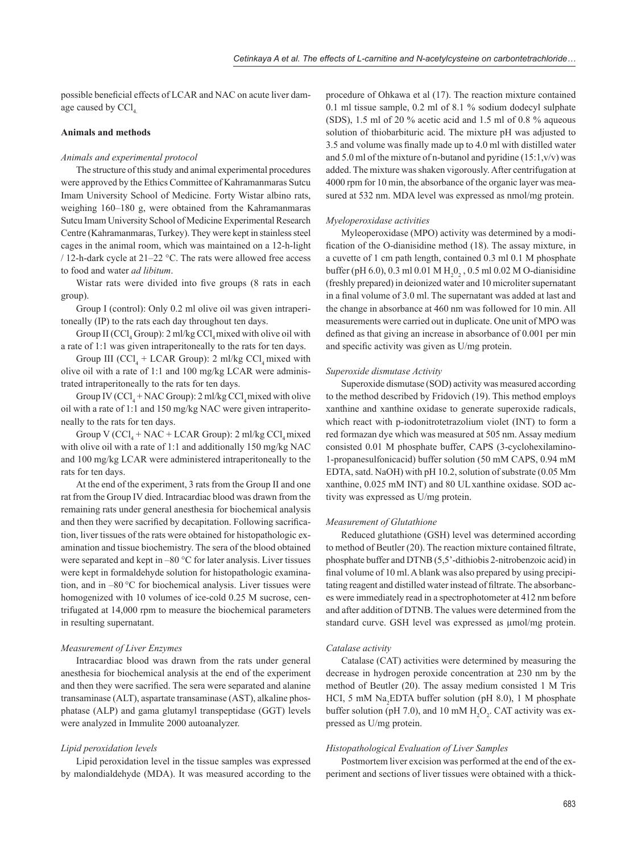possible beneficial effects of LCAR and NAC on acute liver damage caused by CCl

# **Animals and methods**

#### *Animals and experimental protocol*

The structure of this study and animal experimental procedures were approved by the Ethics Committee of Kahramanmaras Sutcu Imam University School of Medicine. Forty Wistar albino rats, weighing 160–180 g, were obtained from the Kahramanmaras Sutcu Imam University School of Medicine Experimental Research Centre (Kahramanmaras, Turkey). They were kept in stainless steel cages in the animal room, which was maintained on a 12-h-light / 12-h-dark cycle at 21–22 °C. The rats were allowed free access to food and water *ad libitum*.

Wistar rats were divided into five groups (8 rats in each group).

Group I (control): Only 0.2 ml olive oil was given intraperitoneally (IP) to the rats each day throughout ten days.

Group II (CCl<sub>4</sub> Group): 2 ml/kg CCl<sub>4</sub> mixed with olive oil with a rate of 1:1 was given intraperitoneally to the rats for ten days.

Group III (CCl<sub>4</sub> + LCAR Group): 2 ml/kg CCl<sub>4</sub> mixed with olive oil with a rate of 1:1 and 100 mg/kg LCAR were administrated intraperitoneally to the rats for ten days.

Group IV ( $CCl_4$  + NAC Group): 2 ml/kg  $CCl_4$  mixed with olive oil with a rate of 1:1 and 150 mg/kg NAC were given intraperitoneally to the rats for ten days.

Group V ( $CCl_4 + NAC + LCAR$  Group): 2 ml/kg  $CCl_4$  mixed with olive oil with a rate of 1:1 and additionally 150 mg/kg NAC and 100 mg/kg LCAR were administered intraperitoneally to the rats for ten days.

At the end of the experiment, 3 rats from the Group II and one rat from the Group IV died. Intracardiac blood was drawn from the remaining rats under general anesthesia for biochemical analysis and then they were sacrified by decapitation. Following sacrification, liver tissues of the rats were obtained for histopathologic examination and tissue biochemistry. The sera of the blood obtained were separated and kept in –80 °C for later analysis. Liver tissues were kept in formaldehyde solution for histopathologic examination, and in –80 °C for biochemical analysis. Liver tissues were homogenized with 10 volumes of ice-cold 0.25 M sucrose, centrifugated at 14,000 rpm to measure the biochemical parameters in resulting supernatant.

#### *Measurement of Liver Enzymes*

Intracardiac blood was drawn from the rats under general anesthesia for biochemical analysis at the end of the experiment and then they were sacrified. The sera were separated and alanine transaminase (ALT), aspartate transaminase (AST), alkaline phosphatase (ALP) and gama glutamyl transpeptidase (GGT) levels were analyzed in Immulite 2000 autoanalyzer.

## *Lipid peroxidation levels*

Lipid peroxidation level in the tissue samples was expressed by malondialdehyde (MDA). It was measured according to the

procedure of Ohkawa et al (17). The reaction mixture contained 0.1 ml tissue sample, 0.2 ml of 8.1 % sodium dodecyl sulphate (SDS), 1.5 ml of 20 % acetic acid and 1.5 ml of 0.8 % aqueous solution of thiobarbituric acid. The mixture pH was adjusted to 3.5 and volume was finally made up to 4.0 ml with distilled water and 5.0 ml of the mixture of n-butanol and pyridine  $(15:1,v/v)$  was added. The mixture was shaken vigorously. After centrifugation at 4000 rpm for 10 min, the absorbance of the organic layer was measured at 532 nm. MDA level was expressed as nmol/mg protein.

#### *Myeloperoxidase activities*

Myleoperoxidase (MPO) activity was determined by a modification of the O-dianisidine method (18). The assay mixture, in a cuvette of 1 cm path length, contained 0.3 ml 0.1 M phosphate buffer (pH 6.0), 0.3 ml 0.01 M  $H_2O_2$ , 0.5 ml 0.02 M O-dianisidine (freshly prepared) in deionized water and 10 microliter supernatant in a final volume of 3.0 ml. The supernatant was added at last and the change in absorbance at 460 nm was followed for 10 min. All measurements were carried out in duplicate. One unit of MPO was defined as that giving an increase in absorbance of  $0.001$  per min and specific activity was given as  $U/mg$  protein.

#### *Superoxide dismutase Activity*

Superoxide dismutase (SOD) activity was measured according to the method described by Fridovich (19). This method employs xanthine and xanthine oxidase to generate superoxide radicals, which react with p-iodonitrotetrazolium violet (INT) to form a red formazan dye which was measured at 505 nm. Assay medium consisted 0.01 M phosphate buffer, CAPS (3-cyclohexilamino-1-propanesulfonicacid) buffer solution (50 mM CAPS, 0.94 mM EDTA, satd. NaOH) with pH 10.2, solution of substrate (0.05 Mm xanthine, 0.025 mM INT) and 80 ULxanthine oxidase. SOD activity was expressed as U/mg protein.

#### *Measurement of Glutathione*

Reduced glutathione (GSH) level was determined according to method of Beutler (20). The reaction mixture contained filtrate, phosphate buffer and DTNB (5,5'-dithiobis 2-nitrobenzoic acid) in final volume of 10 ml. A blank was also prepared by using precipitating reagent and distilled water instead of filtrate. The absorbances were immediately read in a spectrophotometer at 412 nm before and after addition of DTNB. The values were determined from the standard curve. GSH level was expressed as μmol/mg protein.

#### *Catalase activity*

Catalase (CAT) activities were determined by measuring the decrease in hydrogen peroxide concentration at 230 nm by the method of Beutler (20). The assay medium consisted 1 M Tris HCI, 5 mM Na<sub>2</sub>EDTA buffer solution (pH 8.0), 1 M phosphate buffer solution (pH 7.0), and 10 mM  $H_2O_2$ . CAT activity was expressed as U/mg protein.

#### *Histopathological Evaluation of Liver Samples*

Postmortem liver excision was performed at the end of the experiment and sections of liver tissues were obtained with a thick-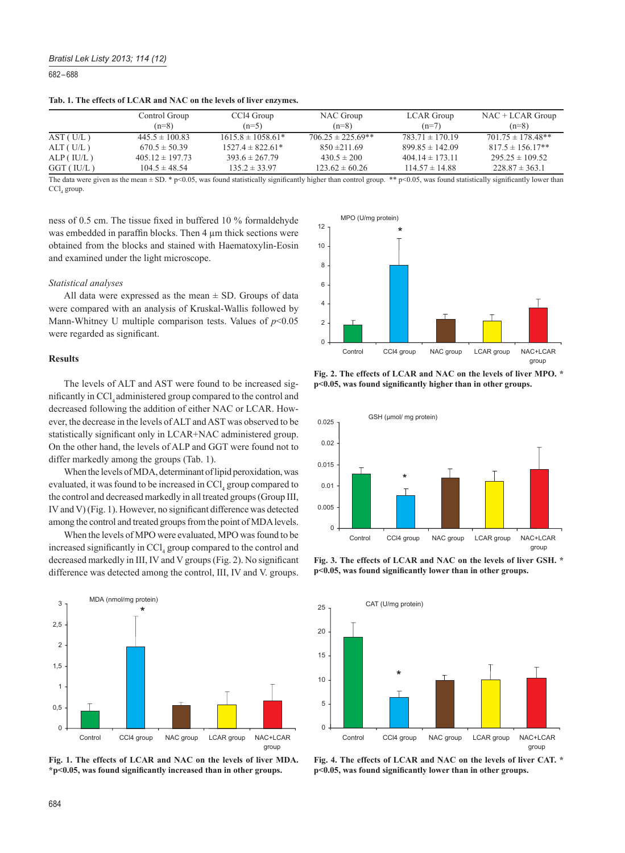## *Bratisl Lek Listy 2013; 114 (12)*

682 – 688

|           | Control Group       | CCl4 Group            | NAC Group             | <b>LCAR</b> Group   | $NAC + LCAR$ Group    |
|-----------|---------------------|-----------------------|-----------------------|---------------------|-----------------------|
|           | $(n=8)$             | $(n=5)$               | $(n=8)$               | $(n=7)$             | $(n=8)$               |
| AST(U/L)  | $445.5 \pm 100.83$  | $1615.8 \pm 1058.61*$ | $706.25 \pm 225.69**$ | $783.71 \pm 170.19$ | $701.75 \pm 178.48**$ |
| ALT(U/L)  | $670.5 \pm 50.39$   | $1527.4 \pm 822.61*$  | $850 \pm 211.69$      | $899.85 \pm 142.09$ | $817.5 \pm 156.17**$  |
| ALP(IU/L) | $405.12 \pm 197.73$ | $393.6 \pm 267.79$    | $430.5 \pm 200$       | $404.14 \pm 173.11$ | $295.25 \pm 109.52$   |
| GGT(IU/L) | $104.5 \pm 48.54$   | $135.2 \pm 33.97$     | $123.62 \pm 60.26$    | $114.57 \pm 14.88$  | $228.87 \pm 363.1$    |

**Tab. 1. The effects of LCAR and NAC on the levels of liver enzymes.**

The data were given as the mean  $\pm$  SD. \* p<0.05, was found statistically significantly higher than control group. \*\* p<0.05, was found statistically significantly lower than  $\text{CCl}_4$  group.

ness of 0.5 cm. The tissue fixed in buffered 10 % formaldehyde was embedded in paraffin blocks. Then  $4 \mu$ m thick sections were obtained from the blocks and stained with Haematoxylin-Eosin and examined under the light microscope.

#### *Statistical analyses*

All data were expressed as the mean  $\pm$  SD. Groups of data were compared with an analysis of Kruskal-Wallis followed by Mann-Whitney U multiple comparison tests. Values of *p*<0.05 were regarded as significant.

# **Results**

The levels of ALT and AST were found to be increased significantly in CCl, administered group compared to the control and decreased following the addition of either NAC or LCAR. However, the decrease in the levels of ALT and AST was observed to be statistically significant only in LCAR+NAC administered group. On the other hand, the levels of ALP and GGT were found not to differ markedly among the groups (Tab. 1).

When the levels of MDA, determinant of lipid peroxidation, was evaluated, it was found to be increased in CCl<sub>4</sub> group compared to the control and decreased markedly in all treated groups (Group III, IV and V) (Fig. 1). However, no significant difference was detected among the control and treated groups from the point of MDA levels.

When the levels of MPO were evaluated, MPO was found to be increased significantly in  $\text{CCI}_4$  group compared to the control and decreased markedly in III, IV and V groups (Fig. 2). No significant difference was detected among the control, III, IV and V. groups.



**Fig. 1. The effects of LCAR and NAC on the levels of liver MDA.**  \*p<0.05, was found significantly increased than in other groups.



**Fig. 2. The effects of LCAR and NAC on the levels of liver MPO. \* p**<0.05, was found significantly higher than in other groups.



**Fig. 3. The effects of LCAR and NAC on the levels of liver GSH. \*** p<0.05, was found significantly lower than in other groups.



**Fig. 4. The effects of LCAR and NAC on the levels of liver CAT. \*** p<0.05, was found significantly lower than in other groups.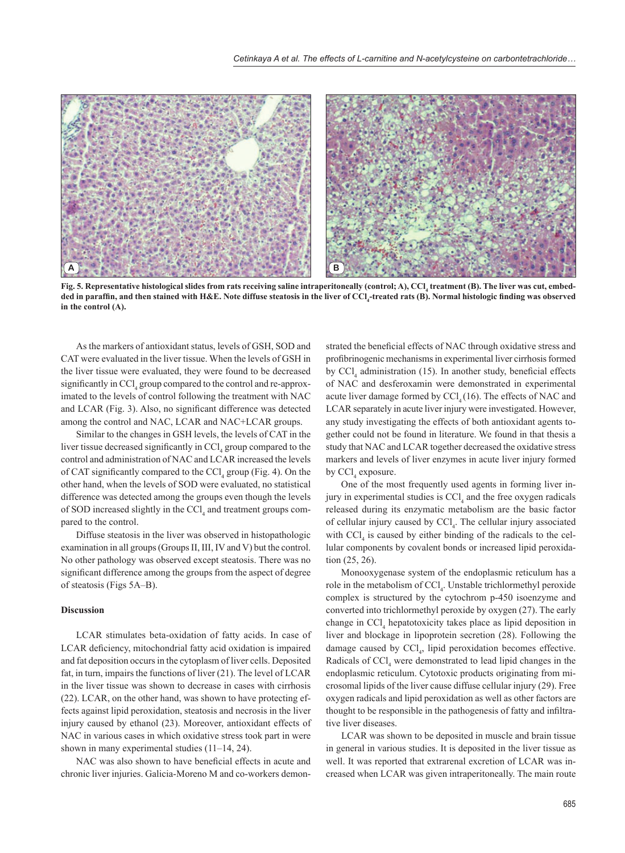

Fig. 5. Representative histological slides from rats receiving saline intraperitoneally (control; A), CCl<sub>4</sub> treatment (B). The liver was cut, embedded in paraffin, and then stained with H&E. Note diffuse steatosis in the liver of CCl<sub>4</sub>-treated rats (B). Normal histologic finding was observed **in the control (A).**

As the markers of antioxidant status, levels of GSH, SOD and CAT were evaluated in the liver tissue. When the levels of GSH in the liver tissue were evaluated, they were found to be decreased significantly in  $\text{CCl}_4$  group compared to the control and re-approximated to the levels of control following the treatment with NAC and LCAR (Fig. 3). Also, no significant difference was detected among the control and NAC, LCAR and NAC+LCAR groups.

Similar to the changes in GSH levels, the levels of CAT in the liver tissue decreased significantly in  $\text{CCI}_4$  group compared to the control and administration of NAC and LCAR increased the levels of CAT significantly compared to the  $\text{CCI}_4$  group (Fig. 4). On the other hand, when the levels of SOD were evaluated, no statistical difference was detected among the groups even though the levels of SOD increased slightly in the CCl<sub>4</sub> and treatment groups compared to the control.

Diffuse steatosis in the liver was observed in histopathologic examination in all groups (Groups II, III, IV and V) but the control. No other pathology was observed except steatosis. There was no significant difference among the groups from the aspect of degree of steatosis (Figs 5A–B).

#### **Discussion**

LCAR stimulates beta-oxidation of fatty acids. In case of LCAR deficiency, mitochondrial fatty acid oxidation is impaired and fat deposition occurs in the cytoplasm of liver cells. Deposited fat, in turn, impairs the functions of liver (21). The level of LCAR in the liver tissue was shown to decrease in cases with cirrhosis (22). LCAR, on the other hand, was shown to have protecting effects against lipid peroxidation, steatosis and necrosis in the liver injury caused by ethanol (23). Moreover, antioxidant effects of NAC in various cases in which oxidative stress took part in were shown in many experimental studies (11–14, 24).

NAC was also shown to have beneficial effects in acute and chronic liver injuries. Galicia-Moreno M and co-workers demon-

strated the beneficial effects of NAC through oxidative stress and profibrinogenic mechanisms in experimental liver cirrhosis formed by  $\text{CCl}_4$  administration (15). In another study, beneficial effects of NAC and desferoxamin were demonstrated in experimental acute liver damage formed by  $\text{CCl}_4(16)$ . The effects of NAC and LCAR separately in acute liver injury were investigated. However, any study investigating the effects of both antioxidant agents together could not be found in literature. We found in that thesis a study that NAC and LCAR together decreased the oxidative stress markers and levels of liver enzymes in acute liver injury formed by  $\text{CCl}_4$  exposure.

One of the most frequently used agents in forming liver injury in experimental studies is  $CCl_4$  and the free oxygen radicals released during its enzymatic metabolism are the basic factor of cellular injury caused by  $\text{CCl}_4$ . The cellular injury associated with  $\text{CCl}_4$  is caused by either binding of the radicals to the cellular components by covalent bonds or increased lipid peroxidation (25, 26).

Monooxygenase system of the endoplasmic reticulum has a role in the metabolism of CCl<sub>4</sub>. Unstable trichlormethyl peroxide complex is structured by the cytochrom p-450 isoenzyme and converted into trichlormethyl peroxide by oxygen (27). The early change in  $\text{CCl}_4$  hepatotoxicity takes place as lipid deposition in liver and blockage in lipoprotein secretion (28). Following the damage caused by  $\text{CCl}_4$ , lipid peroxidation becomes effective. Radicals of  $\text{CCl}_4$  were demonstrated to lead lipid changes in the endoplasmic reticulum. Cytotoxic products originating from microsomal lipids of the liver cause diffuse cellular injury (29). Free oxygen radicals and lipid peroxidation as well as other factors are thought to be responsible in the pathogenesis of fatty and infiltrative liver diseases.

LCAR was shown to be deposited in muscle and brain tissue in general in various studies. It is deposited in the liver tissue as well. It was reported that extrarenal excretion of LCAR was increased when LCAR was given intraperitoneally. The main route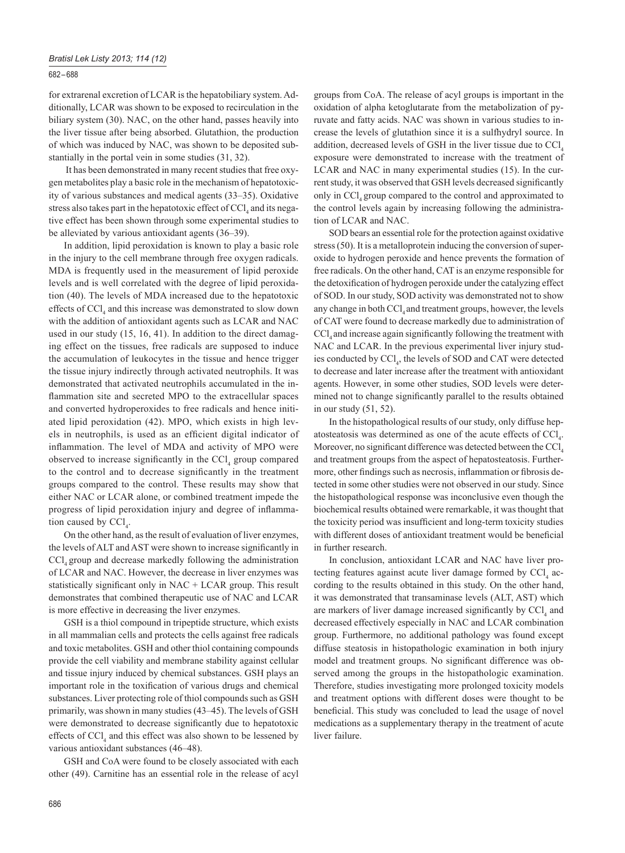### 682 – 688

for extrarenal excretion of LCAR is the hepatobiliary system. Additionally, LCAR was shown to be exposed to recirculation in the biliary system (30). NAC, on the other hand, passes heavily into the liver tissue after being absorbed. Glutathion, the production of which was induced by NAC, was shown to be deposited substantially in the portal vein in some studies (31, 32).

 It has been demonstrated in many recent studies that free oxygen metabolites play a basic role in the mechanism of hepatotoxicity of various substances and medical agents (33–35). Oxidative stress also takes part in the hepatotoxic effect of  $\text{CCl}_4$  and its negative effect has been shown through some experimental studies to be alleviated by various antioxidant agents (36–39).

In addition, lipid peroxidation is known to play a basic role in the injury to the cell membrane through free oxygen radicals. MDA is frequently used in the measurement of lipid peroxide levels and is well correlated with the degree of lipid peroxidation (40). The levels of MDA increased due to the hepatotoxic effects of  $\text{CCl}_4$  and this increase was demonstrated to slow down with the addition of antioxidant agents such as LCAR and NAC used in our study (15, 16, 41). In addition to the direct damaging effect on the tissues, free radicals are supposed to induce the accumulation of leukocytes in the tissue and hence trigger the tissue injury indirectly through activated neutrophils. It was demonstrated that activated neutrophils accumulated in the inflammation site and secreted MPO to the extracellular spaces and converted hydroperoxides to free radicals and hence initiated lipid peroxidation (42). MPO, which exists in high levels in neutrophils, is used as an efficient digital indicator of inflammation. The level of MDA and activity of MPO were observed to increase significantly in the  $\text{CCl}_4$  group compared to the control and to decrease significantly in the treatment groups compared to the control. These results may show that either NAC or LCAR alone, or combined treatment impede the progress of lipid peroxidation injury and degree of inflammation caused by  $\text{CCl}_4$ .

On the other hand, as the result of evaluation of liver enzymes, the levels of ALT and AST were shown to increase significantly in CCl, group and decrease markedly following the administration of LCAR and NAC. However, the decrease in liver enzymes was statistically significant only in  $NAC + LCAR$  group. This result demonstrates that combined therapeutic use of NAC and LCAR is more effective in decreasing the liver enzymes.

GSH is a thiol compound in tripeptide structure, which exists in all mammalian cells and protects the cells against free radicals and toxic metabolites. GSH and other thiol containing compounds provide the cell viability and membrane stability against cellular and tissue injury induced by chemical substances. GSH plays an important role in the toxification of various drugs and chemical substances. Liver protecting role of thiol compounds such as GSH primarily, was shown in many studies (43–45). The levels of GSH were demonstrated to decrease significantly due to hepatotoxic effects of  $\text{CCl}_4$  and this effect was also shown to be lessened by various antioxidant substances (46–48).

GSH and CoA were found to be closely associated with each other (49). Carnitine has an essential role in the release of acyl groups from CoA. The release of acyl groups is important in the oxidation of alpha ketoglutarate from the metabolization of pyruvate and fatty acids. NAC was shown in various studies to increase the levels of glutathion since it is a sulfhydryl source. In addition, decreased levels of GSH in the liver tissue due to CCl. exposure were demonstrated to increase with the treatment of LCAR and NAC in many experimental studies (15). In the current study, it was observed that GSH levels decreased significantly only in CCl, group compared to the control and approximated to the control levels again by increasing following the administration of LCAR and NAC.

SOD bears an essential role for the protection against oxidative stress (50). It is a metalloprotein inducing the conversion of superoxide to hydrogen peroxide and hence prevents the formation of free radicals. On the other hand, CAT is an enzyme responsible for the detoxification of hydrogen peroxide under the catalyzing effect of SOD. In our study, SOD activity was demonstrated not to show any change in both CCl<sub>4</sub> and treatment groups, however, the levels of CAT were found to decrease markedly due to administration of CCl<sub>4</sub> and increase again significantly following the treatment with NAC and LCAR. In the previous experimental liver injury studies conducted by CCl<sub>4</sub>, the levels of SOD and CAT were detected to decrease and later increase after the treatment with antioxidant agents. However, in some other studies, SOD levels were determined not to change significantly parallel to the results obtained in our study (51, 52).

In the histopathological results of our study, only diffuse hepatosteatosis was determined as one of the acute effects of  $\text{CCl}_4$ . Moreover, no significant difference was detected between the  $\text{CCl}_4$ and treatment groups from the aspect of hepatosteatosis. Furthermore, other findings such as necrosis, inflammation or fibrosis detected in some other studies were not observed in our study. Since the histopathological response was inconclusive even though the biochemical results obtained were remarkable, it was thought that the toxicity period was insufficient and long-term toxicity studies with different doses of antioxidant treatment would be beneficial in further research.

In conclusion, antioxidant LCAR and NAC have liver protecting features against acute liver damage formed by  $\text{CCl}_4$  according to the results obtained in this study. On the other hand, it was demonstrated that transaminase levels (ALT, AST) which are markers of liver damage increased significantly by  $\text{CCl}_4$  and decreased effectively especially in NAC and LCAR combination group. Furthermore, no additional pathology was found except diffuse steatosis in histopathologic examination in both injury model and treatment groups. No significant difference was observed among the groups in the histopathologic examination. Therefore, studies investigating more prolonged toxicity models and treatment options with different doses were thought to be beneficial. This study was concluded to lead the usage of novel medications as a supplementary therapy in the treatment of acute liver failure.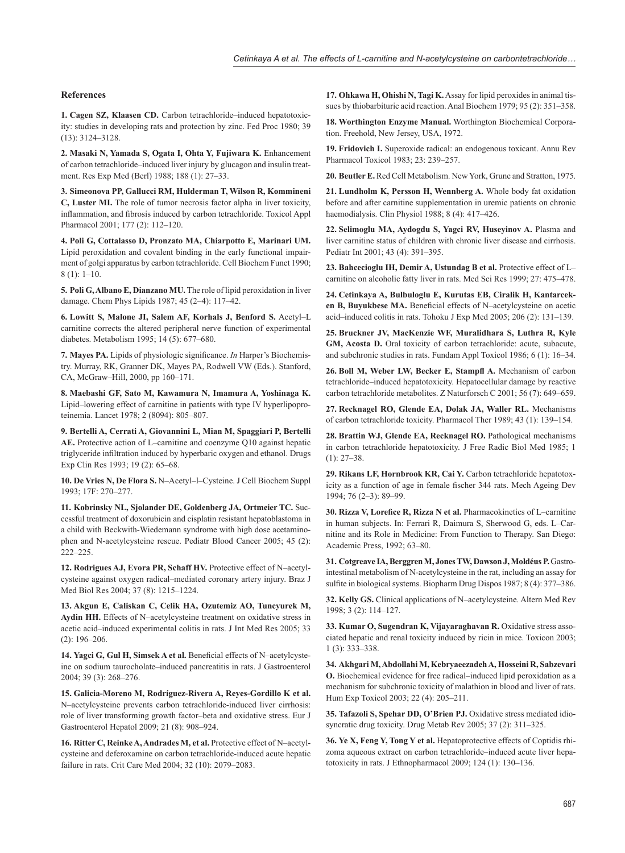## **References**

**1. Cagen SZ, Klaasen CD.** Carbon tetrachloride–induced hepatotoxicity: studies in developing rats and protection by zinc. Fed Proc 1980; 39 (13): 3124–3128.

**2. Masaki N, Yamada S, Ogata I, Ohta Y, Fujiwara K.** Enhancement of carbon tetrachloride–induced liver injury by glucagon and insulin treatment. Res Exp Med (Berl) 1988; 188 (1): 27–33.

**3. Simeonova PP, Gallucci RM, Hulderman T, Wilson R, Kommineni C, Luster MI.** The role of tumor necrosis factor alpha in liver toxicity, inflammation, and fibrosis induced by carbon tetrachloride. Toxicol Appl Pharmacol 2001; 177 (2): 112–120.

**4. Poli G, Cottalasso D, Pronzato MA, Chiarpotto E, Marinari UM.** Lipid peroxidation and covalent binding in the early functional impairment of golgi apparatus by carbon tetrachloride. Cell Biochem Funct 1990; 8 (1): 1–10.

**5. Poli G, Albano E, Dianzano MU.** The role of lipid peroxidation in liver damage. Chem Phys Lipids 1987; 45 (2–4): 117–42.

**6. Lowitt S, Malone JI, Salem AF, Korhals J, Benford S.** Acetyl–L carnitine corrects the altered peripheral nerve function of experimental diabetes. Metabolism 1995; 14 (5): 677–680.

**7. Mayes PA.** Lipids of physiologic significance. *In* Harper's Biochemistry. Murray, RK, Granner DK, Mayes PA, Rodwell VW (Eds.). Stanford, CA, McGraw–Hill, 2000, pp 160–171.

**8. Maebashi GF, Sato M, Kawamura N, Imamura A, Yoshinaga K.** Lipid–lowering effect of carnitine in patients with type IV hyperlipoproteinemia. Lancet 1978; 2 (8094): 805–807.

**9. Bertelli A, Cerrati A, Giovannini L, Mian M, Spaggiari P, Bertelli AE.** Protective action of L–carnitine and coenzyme Q10 against hepatic triglyceride infiltration induced by hyperbaric oxygen and ethanol. Drugs Exp Clin Res 1993; 19 (2): 65–68.

**10. De Vries N, De Flora S.** N–Acetyl–l–Cysteine. J Cell Biochem Suppl 1993; 17F: 270–277.

**11. Kobrinsky NL, Sjolander DE, Goldenberg JA, Ortmeier TC.** Successful treatment of doxorubicin and cisplatin resistant hepatoblastoma in a child with Beckwith-Wiedemann syndrome with high dose acetaminophen and N-acetylcysteine rescue. Pediatr Blood Cancer 2005; 45 (2): 222–225.

**12. Rodrigues AJ, Evora PR, Schaff HV.** Protective effect of N–acetylcysteine against oxygen radical–mediated coronary artery injury. Braz J Med Biol Res 2004; 37 (8): 1215–1224.

**13. Akgun E, Caliskan C, Celik HA, Ozutemiz AO, Tuncyurek M, Aydin HH.** Effects of N–acetylcysteine treatment on oxidative stress in acetic acid–induced experimental colitis in rats. J Int Med Res 2005; 33 (2): 196–206.

14. Yagci G, Gul H, Simsek A et al. Beneficial effects of N-acetylcysteine on sodium taurocholate–induced pancreatitis in rats. J Gastroenterol 2004; 39 (3): 268–276.

**15. Galicia-Moreno M, Rodríguez-Rivera A, Reyes-Gordillo K et al.**  N–acetylcysteine prevents carbon tetrachloride-induced liver cirrhosis: role of liver transforming growth factor–beta and oxidative stress. Eur J Gastroenterol Hepatol 2009; 21 (8): 908–924.

**16. Ritter C, Reinke A, Andrades M, et al.** Protective effect of N–acetylcysteine and deferoxamine on carbon tetrachloride-induced acute hepatic failure in rats. Crit Care Med 2004; 32 (10): 2079–2083.

**17. Ohkawa H, Ohishi N, Tagi K.** Assay for lipid peroxides in animal tissues by thiobarbituric acid reaction. Anal Biochem 1979; 95 (2): 351–358.

**18. Worthington Enzyme Manual.** Worthington Biochemical Corporation. Freehold, New Jersey, USA, 1972.

**19. Fridovich I.** Superoxide radical: an endogenous toxicant. Annu Rev Pharmacol Toxicol 1983; 23: 239–257.

**20. Beutler E.** Red Cell Metabolism. New York, Grune and Stratton, 1975.

**21. Lundholm K, Persson H, Wennberg A.** Whole body fat oxidation before and after carnitine supplementation in uremic patients on chronic haemodialysis. Clin Physiol 1988; 8 (4): 417–426.

**22. Selimoglu MA, Aydogdu S, Yagci RV, Huseyinov A.** Plasma and liver carnitine status of children with chronic liver disease and cirrhosis. Pediatr Int 2001; 43 (4): 391–395.

**23. Bahcecioglu IH, Demir A, Ustundag B et al.** Protective effect of L– carnitine on alcoholic fatty liver in rats. Med Sci Res 1999; 27: 475–478.

**24. Cetinkaya A, Bulbuloglu E, Kurutas EB, Ciralik H, Kantarcek**en B, Buyukbese MA. Beneficial effects of N–acetylcysteine on acetic acid–induced colitis in rats. Tohoku J Exp Med 2005; 206 (2): 131–139.

**25. Bruckner JV, MacKenzie WF, Muralidhara S, Luthra R, Kyle**  GM, Acosta D. Oral toxicity of carbon tetrachloride: acute, subacute, and subchronic studies in rats. Fundam Appl Toxicol 1986; 6 (1): 16–34.

**26. Boll M, Weber LW, Becker E, Stampfl A.** Mechanism of carbon tetrachloride–induced hepatotoxicity. Hepatocellular damage by reactive carbon tetrachloride metabolites. Z Naturforsch C 2001; 56 (7): 649–659.

**27. Recknagel RO, Glende EA, Dolak JA, Waller RL.** Mechanisms of carbon tetrachloride toxicity. Pharmacol Ther 1989; 43 (1): 139–154.

**28. Brattin WJ, Glende EA, Recknagel RO.** Pathological mechanisms in carbon tetrachloride hepatotoxicity. J Free Radic Biol Med 1985; 1  $(1): 27 - 38.$ 

**29. Rikans LF, Hornbrook KR, Cai Y.** Carbon tetrachloride hepatotoxicity as a function of age in female fischer 344 rats. Mech Ageing Dev 1994; 76 (2–3): 89–99.

**30. Rizza V, Lorefice R, Rizza N et al.** Pharmacokinetics of L–carnitine in human subjects. In: Ferrari R, Daimura S, Sherwood G, eds. L–Carnitine and its Role in Medicine: From Function to Therapy. San Diego: Academic Press, 1992; 63–80.

**31. Cotgreave IA, Berggren M, Jones TW, Dawson J, Moldéus P.** Gastrointestinal metabolism of N-acetylcysteine in the rat, including an assay for sulfite in biological systems. Biopharm Drug Dispos 1987; 8 (4): 377–386.

**32. Kelly GS.** Clinical applications of N–acetylcysteine. Altern Med Rev 1998; 3 (2): 114–127.

**33. Kumar O, Sugendran K, Vijayaraghavan R.** Oxidative stress associated hepatic and renal toxicity induced by ricin in mice. Toxicon 2003; 1 (3): 333–338.

**34. Akhgari M, Abdollahi M, Kebryaeezadeh A, Hosseini R, Sabzevari O.** Biochemical evidence for free radical–induced lipid peroxidation as a mechanism for subchronic toxicity of malathion in blood and liver of rats. Hum Exp Toxicol 2003; 22 (4): 205–211.

**35. Tafazoli S, Spehar DD, O'Brien PJ.** Oxidative stress mediated idiosyncratic drug toxicity. Drug Metab Rev 2005; 37 (2): 311–325.

**36. Ye X, Feng Y, Tong Y et al.** Hepatoprotective effects of Coptidis rhizoma aqueous extract on carbon tetrachloride–induced acute liver hepatotoxicity in rats. J Ethnopharmacol 2009; 124 (1): 130–136.